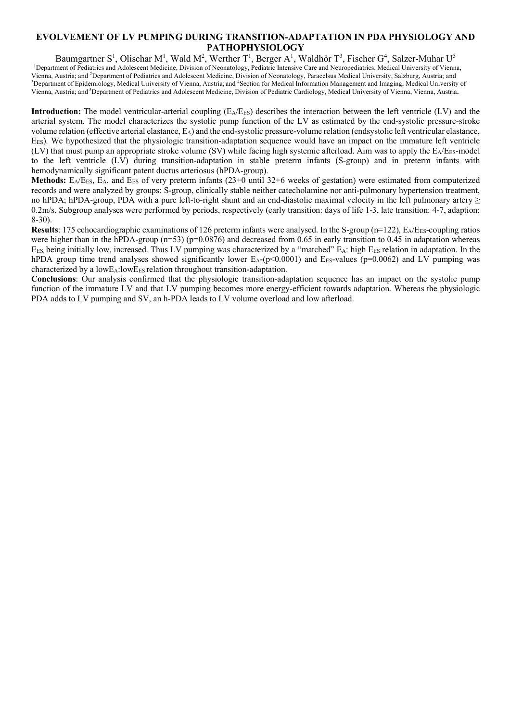### **EVOLVEMENT OF LV PUMPING DURING TRANSITION-ADAPTATION IN PDA PHYSIOLOGY AND PATHOPHYSIOLOGY**

Baumgartner S<sup>1</sup>, Olischar M<sup>1</sup>, Wald M<sup>2</sup>, Werther T<sup>1</sup>, Berger A<sup>1</sup>, Waldhör T<sup>3</sup>, Fischer G<sup>4</sup>, Salzer-Muhar U<sup>5</sup> <sup>1</sup>Department of Pediatrics and Adolescent Medicine, Division of Neonatology, Pediatric Intensive Care and Neuropediatrics, Medical University of Vienna, Vienna, Austria; and <sup>2</sup>Department of Pediatrics and Adolescent Medicine, Division of Neonatology, Paracelsus Medical University, Salzburg, Austria; and <sup>3</sup>Department of Epidemiology, Medical University of Vienna, Austria; and <sup>4</sup>Section for Medical Information Management and Imaging, Medical University of Vienna, Austria; and <sup>5</sup> Department of Pediatrics and Adolescent Medicine, Division of Pediatric Cardiology, Medical University of Vienna, Vienna, Austria**.**

**Introduction:** The model ventricular-arterial coupling  $(E_A/E_{ES})$  describes the interaction between the left ventricle  $(LV)$  and the arterial system. The model characterizes the systolic pump function of the LV as estimated by the end-systolic pressure-stroke volume relation (effective arterial elastance, EA) and the end-systolic pressure-volume relation (endsystolic left ventricular elastance, EES). We hypothesized that the physiologic transition-adaptation sequence would have an impact on the immature left ventricle  $(LV)$  that must pump an appropriate stroke volume (SV) while facing high systemic afterload. Aim was to apply the  $E_A/E_{ES}$ -model to the left ventricle (LV) during transition-adaptation in stable preterm infants (S-group) and in preterm infants with hemodynamically significant patent ductus arteriosus (hPDA-group).

**Methods:**  $E_A/E_{ES}$ ,  $E_A$ , and  $E_{ES}$  of very preterm infants (23+0 until 32+6 weeks of gestation) were estimated from computerized records and were analyzed by groups: S-group, clinically stable neither catecholamine nor anti-pulmonary hypertension treatment, no hPDA; hPDA-group, PDA with a pure left-to-right shunt and an end-diastolic maximal velocity in the left pulmonary artery  $\geq$ 0.2m/s. Subgroup analyses were performed by periods, respectively (early transition: days of life 1-3, late transition: 4-7, adaption: 8-30).

**Results**: 175 echocardiographic examinations of 126 preterm infants were analysed. In the S-group (n=122), E<sub>A</sub>/E<sub>ES</sub>-coupling ratios were higher than in the hPDA-group ( $n=53$ ) ( $p=0.0876$ ) and decreased from 0.65 in early transition to 0.45 in adaptation whereas EES, being initially low, increased. Thus LV pumping was characterized by a "matched" EA: high EES relation in adaptation. In the hPDA group time trend analyses showed significantly lower  $E_A$ -(p<0.0001) and  $E_{ES}$ -values (p=0.0062) and LV pumping was characterized by a lowE<sub>A</sub>:lowE<sub>ES</sub> relation throughout transition-adaptation.

**Conclusions**: Our analysis confirmed that the physiologic transition-adaptation sequence has an impact on the systolic pump function of the immature LV and that LV pumping becomes more energy-efficient towards adaptation. Whereas the physiologic PDA adds to LV pumping and SV, an h-PDA leads to LV volume overload and low afterload.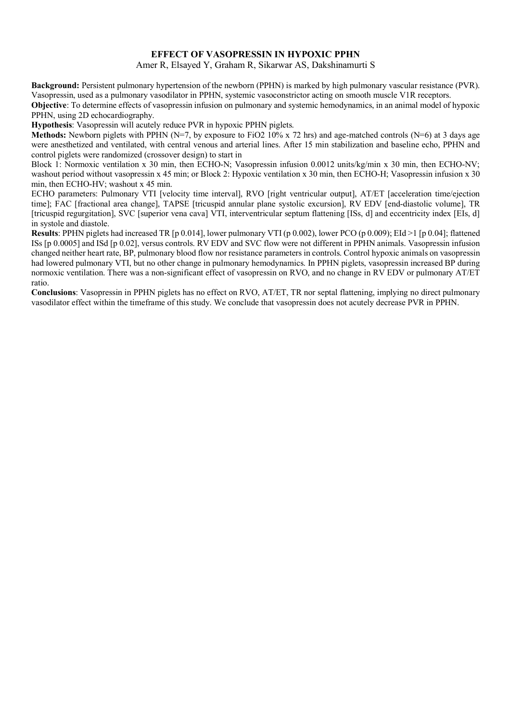#### **EFFECT OF VASOPRESSIN IN HYPOXIC PPHN**

Amer R, Elsayed Y, Graham R, Sikarwar AS, Dakshinamurti S

**Background:** Persistent pulmonary hypertension of the newborn (PPHN) is marked by high pulmonary vascular resistance (PVR). Vasopressin, used as a pulmonary vasodilator in PPHN, systemic vasoconstrictor acting on smooth muscle V1R receptors.

**Objective**: To determine effects of vasopressin infusion on pulmonary and systemic hemodynamics, in an animal model of hypoxic PPHN, using 2D echocardiography.

**Hypothesis**: Vasopressin will acutely reduce PVR in hypoxic PPHN piglets.

**Methods:** Newborn piglets with PPHN (N=7, by exposure to FiO2 10% x 72 hrs) and age-matched controls (N=6) at 3 days age were anesthetized and ventilated, with central venous and arterial lines. After 15 min stabilization and baseline echo, PPHN and control piglets were randomized (crossover design) to start in

Block 1: Normoxic ventilation x 30 min, then ECHO-N; Vasopressin infusion 0.0012 units/kg/min x 30 min, then ECHO-NV; washout period without vasopressin x 45 min; or Block 2: Hypoxic ventilation x 30 min, then ECHO-H; Vasopressin infusion x 30 min, then ECHO-HV; washout x 45 min.

ECHO parameters: Pulmonary VTI [velocity time interval], RVO [right ventricular output], AT/ET [acceleration time/ejection time]; FAC [fractional area change], TAPSE [tricuspid annular plane systolic excursion], RV EDV [end-diastolic volume], TR [tricuspid regurgitation], SVC [superior vena cava] VTI, interventricular septum flattening [ISs, d] and eccentricity index [EIs, d] in systole and diastole.

**Results**: PPHN piglets had increased TR [p 0.014], lower pulmonary VTI (p 0.002), lower PCO (p 0.009); EId >1 [p 0.04]; flattened ISs [p 0.0005] and ISd [p 0.02], versus controls. RV EDV and SVC flow were not different in PPHN animals. Vasopressin infusion changed neither heart rate, BP, pulmonary blood flow nor resistance parameters in controls. Control hypoxic animals on vasopressin had lowered pulmonary VTI, but no other change in pulmonary hemodynamics. In PPHN piglets, vasopressin increased BP during normoxic ventilation. There was a non-significant effect of vasopressin on RVO, and no change in RV EDV or pulmonary AT/ET ratio.

**Conclusions**: Vasopressin in PPHN piglets has no effect on RVO, AT/ET, TR nor septal flattening, implying no direct pulmonary vasodilator effect within the timeframe of this study. We conclude that vasopressin does not acutely decrease PVR in PPHN.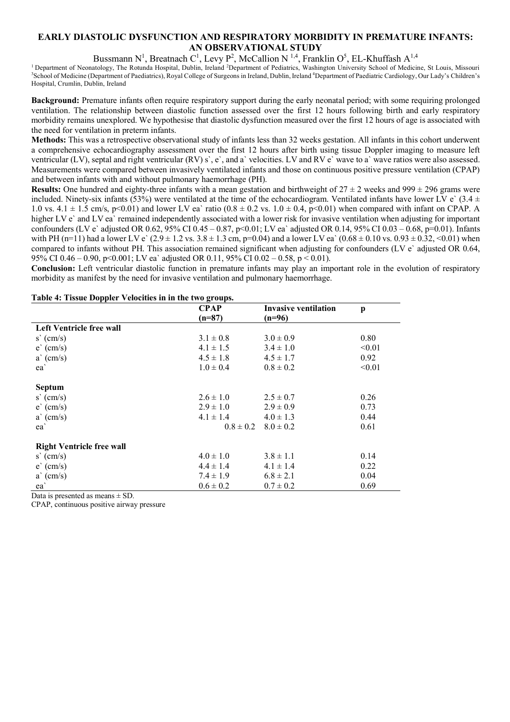## **EARLY DIASTOLIC DYSFUNCTION AND RESPIRATORY MORBIDITY IN PREMATURE INFANTS: AN OBSERVATIONAL STUDY**

Bussmann N<sup>1</sup>, Breatnach C<sup>1</sup>, Levy P<sup>2</sup>, McCallion N<sup>1,4</sup>, Franklin O<sup>5</sup>, EL-Khuffash A<sup>1,4</sup>

<sup>1</sup> Department of Neonatology, The Rotunda Hospital, Dublin, Ireland <sup>2</sup>Department of Pediatrics, Washington University School of Medicine, St Louis, Missouri 3School of Medicine, St Louis, Missouri 3School of Medicine (De School of Medicine (Department of Paediatrics), Royal College of Surgeons in Ireland, Dublin, Ireland <sup>4</sup>Department of Paediatric Cardiology, Our Lady's Children's Hospital, Crumlin, Dublin, Ireland

**Background:** Premature infants often require respiratory support during the early neonatal period; with some requiring prolonged ventilation. The relationship between diastolic function assessed over the first 12 hours following birth and early respiratory morbidity remains unexplored. We hypothesise that diastolic dysfunction measured over the first 12 hours of age is associated with the need for ventilation in preterm infants.

**Methods:** This was a retrospective observational study of infants less than 32 weeks gestation. All infants in this cohort underwent a comprehensive echocardiography assessment over the first 12 hours after birth using tissue Doppler imaging to measure left ventricular (LV), septal and right ventricular (RV) s`, e`, and a` velocities. LV and RV e` wave to a` wave ratios were also assessed. Measurements were compared between invasively ventilated infants and those on continuous positive pressure ventilation (CPAP) and between infants with and without pulmonary haemorrhage (PH).

**Results:** One hundred and eighty-three infants with a mean gestation and birthweight of  $27 \pm 2$  weeks and  $999 \pm 296$  grams were included. Ninety-six infants (53%) were ventilated at the time of the echocardiogram. Ventilated infants have lower LV e` (3.4  $\pm$ 1.0 vs.  $4.1 \pm 1.5$  cm/s, p<0.01) and lower LV ea` ratio (0.8  $\pm$  0.2 vs. 1.0  $\pm$  0.4, p<0.01) when compared with infant on CPAP. A higher LV e` and LV ea` remained independently associated with a lower risk for invasive ventilation when adjusting for important confounders (LV e` adjusted OR 0.62, 95% CI 0.45 – 0.87, p<0.01; LV ea` adjusted OR 0.14, 95% CI 0.03 – 0.68, p=0.01). Infants with PH (n=11) had a lower LV e`  $(2.9 \pm 1.2 \text{ vs. } 3.8 \pm 1.3 \text{ cm}, p=0.04)$  and a lower LV ea`  $(0.68 \pm 0.10 \text{ vs. } 0.93 \pm 0.32, \le 0.01)$  when compared to infants without PH. This association remained significant when adjusting for confounders (LV e` adjusted OR 0.64, 95% CI 0.46 – 0.90, p<0.001; LV ea` adjusted OR 0.11, 95% CI 0.02 – 0.58, p < 0.01).

**Conclusion:** Left ventricular diastolic function in premature infants may play an important role in the evolution of respiratory morbidity as manifest by the need for invasive ventilation and pulmonary haemorrhage.

| Table 4. Tissue Doppier Velocutes in in the two groups. | <b>CPAP</b>   | <b>Invasive ventilation</b> | p      |
|---------------------------------------------------------|---------------|-----------------------------|--------|
|                                                         | $(n=87)$      | $(n=96)$                    |        |
| Left Ventricle free wall                                |               |                             |        |
| $s'$ (cm/s)                                             | $3.1 \pm 0.8$ | $3.0 \pm 0.9$               | 0.80   |
| $e^{(cm/s)}$                                            | $4.1 \pm 1.5$ | $3.4 \pm 1.0$               | < 0.01 |
| $a'$ (cm/s)                                             | $4.5 \pm 1.8$ | $4.5 \pm 1.7$               | 0.92   |
| ea                                                      | $1.0 \pm 0.4$ | $0.8 \pm 0.2$               | < 0.01 |
| <b>Septum</b>                                           |               |                             |        |
| $s'$ (cm/s)                                             | $2.6 \pm 1.0$ | $2.5 \pm 0.7$               | 0.26   |
| e'(cm/s)                                                | $2.9 \pm 1.0$ | $2.9 \pm 0.9$               | 0.73   |
| $a'$ (cm/s)                                             | $4.1 \pm 1.4$ | $4.0 \pm 1.3$               | 0.44   |
| ea`                                                     | $0.8 \pm 0.2$ | $8.0 \pm 0.2$               | 0.61   |
| <b>Right Ventricle free wall</b>                        |               |                             |        |
| $s'$ (cm/s)                                             | $4.0 \pm 1.0$ | $3.8 \pm 1.1$               | 0.14   |
| $e^{(cm/s)}$                                            | $4.4 \pm 1.4$ | $4.1 \pm 1.4$               | 0.22   |
| $a'$ (cm/s)                                             | $7.4 \pm 1.9$ | $6.8 \pm 2.1$               | 0.04   |
| ea                                                      | $0.6 \pm 0.2$ | $0.7 \pm 0.2$               | 0.69   |

#### **Table 4: Tissue Doppler Velocities in in the two groups.**

Data is presented as means  $\pm$  SD.

CPAP, continuous positive airway pressure